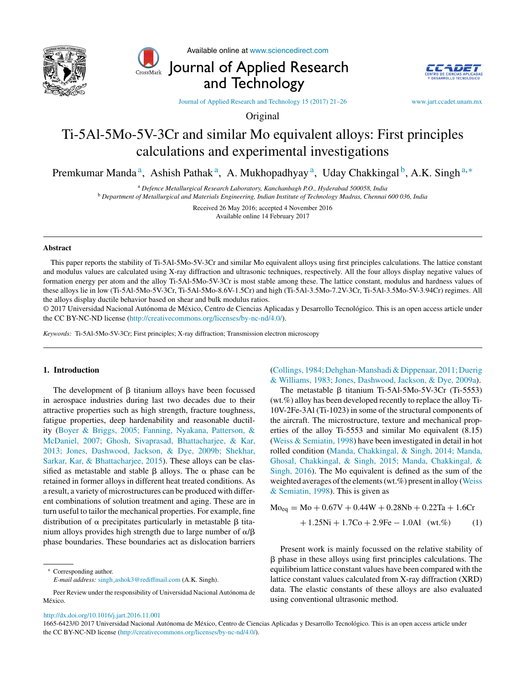



Available online at [www.sciencedirect.com](http://www.sciencedirect.com/science/journal/00000000)

Journal of Applied Research and Technology



Journal of Applied Research and [Technology](dx.doi.org/10.1016/j.jart.2016.11.001) 15 (2017) 21–26 [www.jart.ccadet.unam.mx](http://www.jart.ccadet.unam.mx)

Original

# Ti-5Al-5Mo-5V-3Cr and similar Mo equivalent alloys: First principles calculations and experimental investigations

Premkumar Manda<sup>a</sup>, Ashish Pathak<sup>a</sup>, A. Mukhopadhyay<sup>a</sup>, Uday Chakkingal<sup>b</sup>, A.K. Singh<sup>a,\*</sup>

<sup>a</sup> *Defence Metallurgical Research Laboratory, Kanchanbagh P.O., Hyderabad 500058, India*

<sup>b</sup> *Department of Metallurgical and Materials Engineering, Indian Institute of Technology Madras, Chennai 600 036, India*

Received 26 May 2016; accepted 4 November 2016 Available online 14 February 2017

### **Abstract**

This paper reports the stability of Ti-5Al-5Mo-5V-3Cr and similar Mo equivalent alloys using first principles calculations. The lattice constant and modulus values are calculated using X-ray diffraction and ultrasonic techniques, respectively. All the four alloys display negative values of formation energy per atom and the alloy Ti-5Al-5Mo-5V-3Cr is most stable among these. The lattice constant, modulus and hardness values of these alloys lie in low (Ti-5Al-5Mo-5V-3Cr, Ti-5Al-5Mo-8.6V-1.5Cr) and high (Ti-5Al-3.5Mo-7.2V-3Cr, Ti-5Al-3.5Mo-5V-3.94Cr) regimes. All the alloys display ductile behavior based on shear and bulk modulus ratios.

© 2017 Universidad Nacional Autónoma de México, Centro de Ciencias Aplicadas y Desarrollo Tecnológico. This is an open access article under the CC BY-NC-ND license [\(http://creativecommons.org/licenses/by-nc-nd/4.0/\)](http://creativecommons.org/licenses/by-nc-nd/4.0/).

*Keywords:* Ti-5Al-5Mo-5V-3Cr; First principles; X-ray diffraction; Transmission electron microscopy

## **1. Introduction**

The development of  $\beta$  titanium alloys have been focussed in aerospace industries during last two decades due to their attractive properties such as high strength, fracture toughness, fatigue properties, deep hardenability and reasonable ductility ([Boyer](#page-4-0) [&](#page-4-0) [Briggs,](#page-4-0) [2005;](#page-4-0) [Fanning,](#page-4-0) [Nyakana,](#page-4-0) [Patterson,](#page-4-0) [&](#page-4-0) [McDaniel,](#page-4-0) [2007;](#page-4-0) [Ghosh,](#page-4-0) [Sivaprasad,](#page-4-0) [Bhattacharjee,](#page-4-0) [&](#page-4-0) [Kar,](#page-4-0) [2013;](#page-4-0) [Jones,](#page-4-0) [Dashwood,](#page-4-0) [Jackson,](#page-4-0) [&](#page-4-0) [Dye,](#page-4-0) [2009b;](#page-4-0) [Shekhar,](#page-4-0) [Sarkar,](#page-4-0) [Kar,](#page-4-0) [&](#page-4-0) [Bhattacharjee,](#page-4-0) [2015\).](#page-4-0) These alloys can be classified as metastable and stable  $\beta$  alloys. The  $\alpha$  phase can be retained in former alloys in different heat treated conditions. As a result, a variety of microstructures can be produced with different combinations of solution treatment and aging. These are in turn useful to tailor the mechanical properties. For example, fine distribution of  $\alpha$  precipitates particularly in metastable  $\beta$  titanium alloys provides high strength due to large number of  $\alpha/\beta$ phase boundaries. These boundaries act as dislocation barriers

Corresponding author. *E-mail address:* singh [ashok3@rediffmail.com](mailto:singh_ashok3@rediffmail.com) (A.K. Singh). ([Collings,](#page-4-0) [1984;Dehghan-Manshadi&Dippenaar,](#page-4-0) [2011;Duerig](#page-4-0) [&](#page-4-0) [Williams,](#page-4-0) [1983;](#page-4-0) [Jones,](#page-4-0) [Dashwood,](#page-4-0) [Jackson,](#page-4-0) [&](#page-4-0) [Dye,](#page-4-0) [2009a\).](#page-4-0)

The metastable  $\beta$  titanium Ti-5Al-5Mo-5V-3Cr (Ti-5553) (wt.%) alloy has been developed recently to replace the alloy Ti-10V-2Fe-3Al (Ti-1023) in some of the structural components of the aircraft. The microstructure, texture and mechanical properties of the alloy Ti-5553 and similar Mo equivalent (8.15) ([Weiss](#page-5-0) [&](#page-5-0) [Semiatin,](#page-5-0) [1998\)](#page-5-0) have been investigated in detail in hot rolled condition [\(Manda,](#page-4-0) [Chakkingal,](#page-4-0) [&](#page-4-0) [Singh,](#page-4-0) [2014;](#page-4-0) [Manda,](#page-4-0) [Ghosal,](#page-4-0) [Chakkingal,](#page-4-0) [&](#page-4-0) [Singh,](#page-4-0) [2015;](#page-4-0) [Manda,](#page-4-0) [Chakkingal,](#page-4-0) [&](#page-4-0) [Singh,](#page-4-0) [2016\).](#page-4-0) The Mo equivalent is defined as the sum of the weighted averages of the elements (wt.%) present in alloy [\(Weiss](#page-5-0) [&](#page-5-0) [Semiatin,](#page-5-0) [1998\).](#page-5-0) This is given as

$$
Mo_{eq} = Mo + 0.67V + 0.44W + 0.28Nb + 0.22Ta + 1.6Cr
$$

$$
+ 1.25Ni + 1.7Co + 2.9Fe - 1.0Al (wt.%) \tag{1}
$$

Present work is mainly focussed on the relative stability of - phase in these alloys using first principles calculations. The equilibrium lattice constant values have been compared with the lattice constant values calculated from X-ray diffraction (XRD) data. The elastic constants of these alloys are also evaluated using conventional ultrasonic method.

Peer Review under the responsibility of Universidad Nacional Autónoma de México.

[http://dx.doi.org/10.1016/j.jart.2016.11.001](dx.doi.org/10.1016/j.jart.2016.11.001)

<sup>1665-6423/©</sup> 2017 Universidad Nacional Autónoma de México, Centro de Ciencias Aplicadas y Desarrollo Tecnológico. This is an open access article under the CC BY-NC-ND license (<http://creativecommons.org/licenses/by-nc-nd/4.0/>).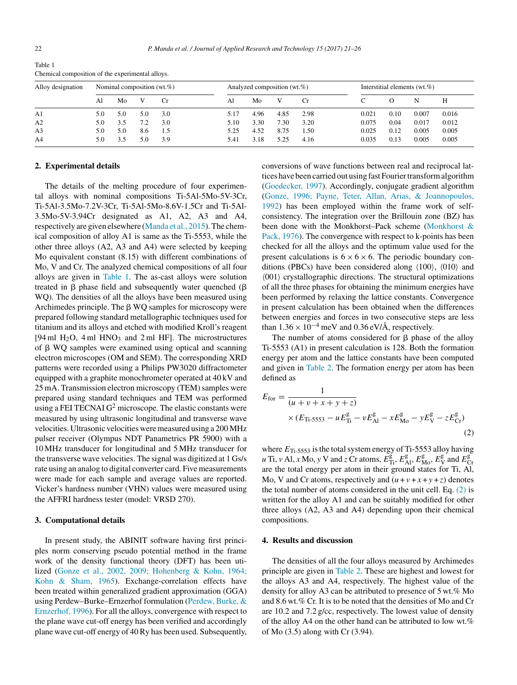| Alloy designation | Nominal composition $(wt, \%)$ |     |     |     | Analyzed composition (wt.%) |      |      | Interstitial elements $(wt, \%)$ |       |      |       |       |
|-------------------|--------------------------------|-----|-----|-----|-----------------------------|------|------|----------------------------------|-------|------|-------|-------|
|                   | AI                             | Mo  |     | Cr. | Al                          | Mo   | V    | Сr                               |       |      | N     | Н     |
| A <sub>1</sub>    | 5.0                            | 5.0 | 5.0 | 3.0 | 5.17                        | 4.96 | 4.85 | 2.98                             | 0.021 | 0.10 | 0.007 | 0.016 |
| A <sub>2</sub>    | 5.0                            | 3.5 | 7.2 | 3.0 | 5.10                        | 3.30 | 7.30 | 3.20                             | 0.075 | 0.04 | 0.017 | 0.012 |
| A <sub>3</sub>    | 5.0                            | 5.0 | 8.6 | 1.5 | 5.25                        | 4.52 | 8.75 | 1.50                             | 0.025 | 0.12 | 0.005 | 0.005 |
| A <sub>4</sub>    | 5.0                            | 3.5 | 5.0 | 3.9 | 5.41                        | 3.18 | 5.25 | 4.16                             | 0.035 | 0.13 | 0.005 | 0.005 |

Table 1 Chemical composition of the experimental alloys.

## **2. Experimental details**

The details of the melting procedure of four experimental alloys with nominal compositions Ti-5Al-5Mo-5V-3Cr, Ti-5Al-3.5Mo-7.2V-3Cr, Ti-5Al-5Mo-8.6V-1.5Cr and Ti-5Al-3.5Mo-5V-3.94Cr designated as A1, A2, A3 and A4, respectively are given elsewhere [\(Manda](#page-4-0) et [al.,](#page-4-0) [2015\).](#page-4-0) The chemical composition of alloy A1 is same as the Ti-5553, while the other three alloys (A2, A3 and A4) were selected by keeping Mo equivalent constant (8.15) with different combinations of Mo, V and Cr. The analyzed chemical compositions of all four alloys are given in Table 1. The as-cast alloys were solution treated in  $\beta$  phase field and subsequently water quenched ( $\beta$ WQ). The densities of all the alloys have been measured using Archimedes principle. The  $\beta$  WQ samples for microscopy were prepared following standard metallographic techniques used for titanium and its alloys and etched with modified Kroll's reagent [94 ml  $H_2O$ , 4 ml  $HNO_3$  and 2 ml HF]. The microstructures of  $\beta$  WQ samples were examined using optical and scanning electron microscopes (OM and SEM). The corresponding XRD patterns were recorded using a Philips PW3020 diffractometer equipped with a graphite monochrometer operated at 40 kV and 25 mA. Transmission electron microscopy (TEM) samples were prepared using standard techniques and TEM was performed using a FEI TECNAI  $G^2$  microscope. The elastic constants were measured by using ultrasonic longitudinal and transverse wave velocities. Ultrasonic velocities weremeasured using a 200 MHz pulser receiver (Olympus NDT Panametrics PR 5900) with a 10 MHz transducer for longitudinal and 5 MHz transducer for the transverse wave velocities. The signal was digitized at 1 Gs/s rate using an analog to digital converter card. Five measurements were made for each sample and average values are reported. Vicker's hardness number (VHN) values were measured using the AFFRI hardness tester (model: VRSD 270).

#### **3. Computational details**

In present study, the ABINIT software having first principles norm conserving pseudo potential method in the frame work of the density functional theory (DFT) has been utilized ([Gonze](#page-4-0) et [al.,](#page-4-0) [2002,](#page-4-0) [2009;](#page-4-0) [Hohenberg](#page-4-0) [&](#page-4-0) [Kohn,](#page-4-0) [1964;](#page-4-0) [Kohn](#page-4-0) [&](#page-4-0) [Sham,](#page-4-0) [1965\).](#page-4-0) Exchange-correlation effects have been treated within generalized gradient approximation (GGA) using Perdew–Burke–Ernzerhof formulation [\(Perdew,](#page-5-0) [Burke,](#page-5-0) [&](#page-5-0) [Ernzerhof,](#page-5-0) [1996\).](#page-5-0) For all the alloys, convergence with respect to the plane wave cut-off energy has been verified and accordingly plane wave cut-off energy of 40Ry has been used. Subsequently,

conversions of wave functions between real and reciprocal lattices have been carried out using fast Fourier transform algorithm [\(Goedecker,](#page-4-0) [1997\).](#page-4-0) Accordingly, conjugate gradient algorithm [\(Gonze,](#page-4-0) [1996;](#page-4-0) [Payne,](#page-4-0) [Teter,](#page-4-0) [Allan,](#page-4-0) [Arias,](#page-4-0) [&](#page-4-0) [Joannopoulos,](#page-4-0) [1992\)](#page-4-0) has been employed within the frame work of selfconsistency. The integration over the Brillouin zone (BZ) has been done with the Monkhorst–Pack scheme [\(Monkhorst](#page-5-0) [&](#page-5-0) [Pack,](#page-5-0) [1976\).](#page-5-0) The convergence with respect to k-points has been checked for all the alloys and the optimum value used for the present calculations is  $6 \times 6 \times 6$ . The periodic boundary conditions (PBCs) have been considered along  $(100)$ ,  $(010)$  and  $(001)$  crystallographic directions. The structural optimizations of all the three phases for obtaining the minimum energies have been performed by relaxing the lattice constants. Convergence in present calculation has been obtained when the differences between energies and forces in two consecutive steps are less than  $1.36 \times 10^{-4}$  meV and  $0.36$  eV/Å, respectively.

The number of atoms considered for  $\beta$  phase of the alloy Ti-5553 (A1) in present calculation is 128. Both the formation energy per atom and the lattice constants have been computed and given in [Table](#page-2-0) 2. The formation energy per atom has been defined as

$$
E_{\text{for}} = \frac{1}{(u + v + x + y + z)}
$$
  
×  $(E_{\text{Ti-5553}} - u E_{\text{Ti}}^{\text{g}} - v E_{\text{Al}}^{\text{g}} - x E_{\text{Mo}}^{\text{g}} - y E_{\text{V}}^{\text{g}} - z E_{\text{Cr}}^{\text{g}})$  (2)

where  $E_{\text{Ti-5553}}$  is the total system energy of Ti-5553 alloy having *u* Ti, *v* Al, *x* Mo, *y* V and *z* Cr atoms,  $E_{\text{Ti}}^{\text{g}}$ ,  $E_{\text{AI}}^{\text{g}}$ ,  $E_{\text{Mo}}^{\text{g}}$ ,  $E_{\text{V}}^{\text{g}}$  and  $E_{\text{Cr}}^{\text{g}}$ are the total energy per atom in their ground states for Ti, Al, Mo, V and Cr atoms, respectively and  $(u + v + x + y + z)$  denotes the total number of atoms considered in the unit cell. Eq. (2) is written for the alloy A1 and can be suitably modified for other three alloys (A2, A3 and A4) depending upon their chemical compositions.

### **4. Results and discussion**

The densities of all the four alloys measured by Archimedes principle are given in [Table](#page-2-0) 2. These are highest and lowest for the alloys A3 and A4, respectively. The highest value of the density for alloy A3 can be attributed to presence of 5 wt.% Mo and 8.6 wt.% Cr. It is to be noted that the densities of Mo and Cr are 10.2 and 7.2 g/cc, respectively. The lowest value of density of the alloy A4 on the other hand can be attributed to low wt.% of Mo (3.5) along with Cr (3.94).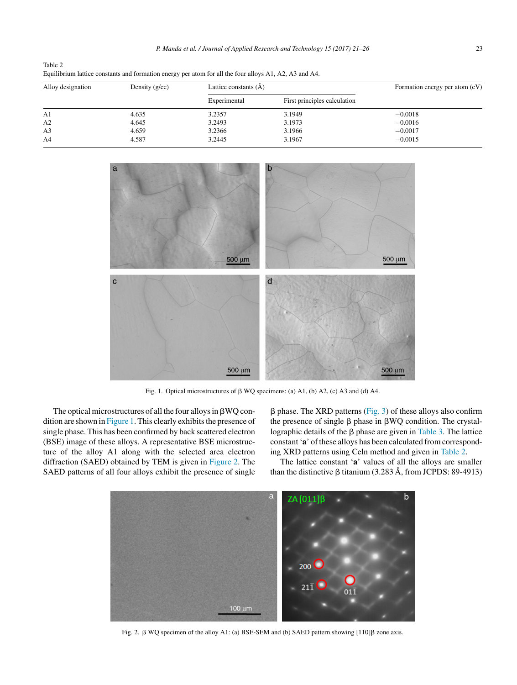<span id="page-2-0"></span>

| Alloy decignation | Dopoity $(\alpha/\alpha)$ | Lottigo gonotonto $(\lambda)$                                                                          |  |
|-------------------|---------------------------|--------------------------------------------------------------------------------------------------------|--|
|                   |                           | Equilibrium lattice constants and formation energy per atom for all the four alloys A1, A2, A3 and A4. |  |
| Table 2           |                           |                                                                                                        |  |

| Alloy designation | Density $(g/cc)$ | Lattice constants $(\dot{A})$ |                              | Formation energy per atom (eV) |  |
|-------------------|------------------|-------------------------------|------------------------------|--------------------------------|--|
|                   |                  | Experimental                  | First principles calculation |                                |  |
| A1                | 4.635            | 3.2357                        | 3.1949                       | $-0.0018$                      |  |
| A2                | 4.645            | 3.2493                        | 3.1973                       | $-0.0016$                      |  |
| A <sub>3</sub>    | 4.659            | 3.2366                        | 3.1966                       | $-0.0017$                      |  |
| A <sub>4</sub>    | 4.587            | 3.2445                        | 3.1967                       | $-0.0015$                      |  |



Fig. 1. Optical microstructures of  $\beta$  WQ specimens: (a) A1, (b) A2, (c) A3 and (d) A4.

The optical microstructures of all the four alloys in  $\beta WQ$  condition are shown in  $Figure 1$ . This clearly exhibits the presence of single phase. This has been confirmed by back scattered electron (BSE) image of these alloys. A representative BSE microstructure of the alloy A1 along with the selected area electron diffraction (SAED) obtained by TEM is given in Figure 2. The SAED patterns of all four alloys exhibit the presence of single

 $\beta$  phase. The XRD patterns ([Fig.](#page-3-0) 3) of these alloys also confirm the presence of single  $\beta$  phase in  $\beta WQ$  condition. The crystallographic details of the  $\beta$  phase are given in [Table](#page-3-0) 3. The lattice constant 'a' of these alloys has been calculated from corresponding XRD patterns using Celn method and given in Table 2.

The lattice constant '**a**' values of all the alloys are smaller than the distinctive  $\beta$  titanium (3.283 Å, from JCPDS: 89-4913)



Fig. 2.  $\beta$  WQ specimen of the alloy A1: (a) BSE-SEM and (b) SAED pattern showing [110] $\beta$  zone axis.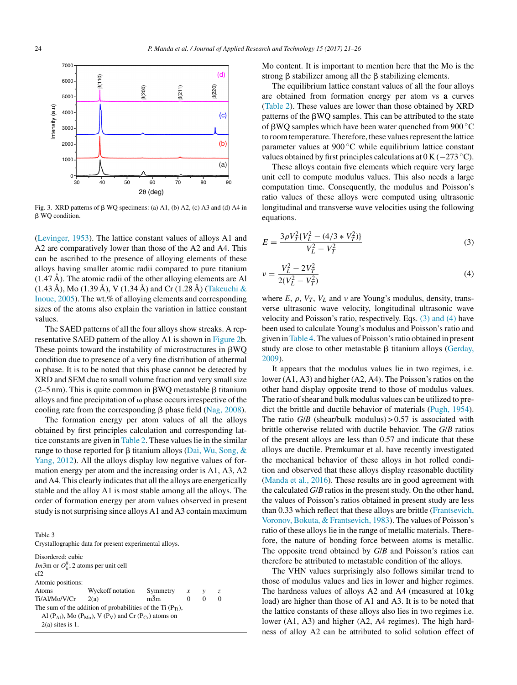<span id="page-3-0"></span>

Fig. 3. XRD patterns of  $\beta$  WQ specimens: (a) A1, (b) A2, (c) A3 and (d) A4 in β WQ condition.

[\(Levinger,](#page-4-0) [1953\).](#page-4-0) The lattice constant values of alloys A1 and A2 are comparatively lower than those of the A2 and A4. This can be ascribed to the presence of alloying elements of these alloys having smaller atomic radii compared to pure titanium  $(1.47 \text{ Å})$ . The atomic radii of the other alloying elements are Al (1.43 Å), Mo (1.39 Å), V (1.34 Å) and Cr (1.28 Å) ([Takeuchi](#page-5-0) [&](#page-5-0) [Inoue,](#page-5-0) [2005\).](#page-5-0) The wt.% of alloying elements and corresponding sizes of the atoms also explain the variation in lattice constant values.

The SAED patterns of all the four alloys show streaks. A representative SAED pattern of the alloy A1 is shown in [Figure](#page-2-0) 2b. These points toward the instability of microstructures in  $\beta WQ$ condition due to presence of a very fine distribution of athermal  $\omega$  phase. It is to be noted that this phase cannot be detected by XRD and SEM due to small volume fraction and very small size (2–5 nm). This is quite common in  $\beta WQ$  metastable  $\beta$  titanium alloys and fine precipitation of  $\omega$  phase occurs irrespective of the cooling rate from the corresponding  $\beta$  phase field ([Nag,](#page-5-0) [2008\).](#page-5-0)

The formation energy per atom values of all the alloys obtained by first principles calculation and corresponding lat-tice constants are given in [Table](#page-2-0) 2. These values lie in the similar range to those reported for  $\beta$  titanium alloys [\(Dai,](#page-4-0) [Wu,](#page-4-0) [Song,](#page-4-0) [&](#page-4-0) [Yang,](#page-4-0) [2012\).](#page-4-0) All the alloys display low negative values of formation energy per atom and the increasing order is A1, A3, A2 and A4. This clearly indicates that all the alloys are energetically stable and the alloy A1 is most stable among all the alloys. The order of formation energy per atom values observed in present study is not surprising since alloys A1 and A3 contain maximum

Table 3

| Crystallographic data for present experimental alloys. |
|--------------------------------------------------------|
|                                                        |

| Disordered: cubic                                |                                                                      |                   |          |          |
|--------------------------------------------------|----------------------------------------------------------------------|-------------------|----------|----------|
| $Im\bar{3}$ m or $O_k^9$ ; 2 atoms per unit cell |                                                                      |                   |          |          |
| cI2                                              |                                                                      |                   |          |          |
| Atomic positions:                                |                                                                      |                   |          |          |
| Atoms                                            | Wyckoff notation                                                     | Symmetry $x \, y$ |          | Z.       |
| $Ti/AI/Mo/V/Cr$ 2(a)                             |                                                                      | $m\overline{3}m$  | $\Omega$ | $\Omega$ |
|                                                  | The sum of the addition of probabilities of the Ti $(P_{Ti})$ ,      |                   |          |          |
|                                                  | Al $(P_{Al})$ , Mo $(P_{Mo})$ , V $(P_V)$ and Cr $(P_{Cr})$ atoms on |                   |          |          |
| $2(a)$ sites is 1.                               |                                                                      |                   |          |          |
|                                                  |                                                                      |                   |          |          |

Mo content. It is important to mention here that the Mo is the strong  $\beta$  stabilizer among all the  $\beta$  stabilizing elements.

The equilibrium lattice constant values of all the four alloys are obtained from formation energy per atom vs **a** curves [\(Table](#page-2-0) 2). These values are lower than those obtained by XRD patterns of the  $\beta WQ$  samples. This can be attributed to the state of  $\beta$ WQ samples which have been water quenched from 900  $\degree$ C to room temperature. Therefore, these values represent the lattice parameter values at 900 ◦C while equilibrium lattice constant values obtained by first principles calculations at  $0 K (-273 °C)$ .

These alloys contain five elements which require very large unit cell to compute modulus values. This also needs a large computation time. Consequently, the modulus and Poisson's ratio values of these alloys were computed using ultrasonic longitudinal and transverse wave velocities using the following equations.

$$
E = \frac{3\rho V_T^2 \{V_L^2 - (4/3 + V_T^2)\}}{V_L^2 - V_T^2}
$$
\n(3)

$$
v = \frac{V_L^2 - 2V_T^2}{2(V_L^2 - V_T^2)}
$$
\n(4)

where  $E$ ,  $\rho$ ,  $V_T$ ,  $V_L$  and  $\nu$  are Young's modulus, density, transverse ultrasonic wave velocity, longitudinal ultrasonic wave velocity and Poisson's ratio, respectively. Eqs. (3) and (4) have been used to calculate Young's modulus and Poisson's ratio and given in[Table](#page-4-0) 4.The values of Poisson'sratio obtained in present study are close to other metastable  $\beta$  titanium alloys ([Gerday,](#page-4-0) [2009\).](#page-4-0)

It appears that the modulus values lie in two regimes, i.e. lower (A1, A3) and higher (A2, A4). The Poisson's ratios on the other hand display opposite trend to those of modulus values. The ratio of shear and bulk modulus values can be utilized to predict the brittle and ductile behavior of materials [\(Pugh,](#page-5-0) [1954\).](#page-5-0) The ratio  $G/B$  (shear/bulk modulus) > 0.57 is associated with brittle otherwise related with ductile behavior. The *G*/*B* ratios of the present alloys are less than 0.57 and indicate that these alloys are ductile. Premkumar et al. have recently investigated the mechanical behavior of these alloys in hot rolled condition and observed that these alloys display reasonable ductility [\(Manda](#page-5-0) et [al.,](#page-5-0) [2016\).](#page-5-0) These results are in good agreement with the calculated *G*/*B* ratios in the present study. On the other hand, the values of Poisson's ratios obtained in present study are less than 0.33 which reflect that these alloys are brittle [\(Frantsevich,](#page-4-0) [Voronov,](#page-4-0) [Bokuta,](#page-4-0) [&](#page-4-0) [Frantsevich,](#page-4-0) [1983\).](#page-4-0) The values of Poisson's ratio of these alloys lie in the range of metallic materials. Therefore, the nature of bonding force between atoms is metallic. The opposite trend obtained by *G*/*B* and Poisson's ratios can therefore be attributed to metastable condition of the alloys.

The VHN values surprisingly also follows similar trend to those of modulus values and lies in lower and higher regimes. The hardness values of alloys A2 and A4 (measured at 10 kg load) are higher than those of A1 and A3. It is to be noted that the lattice constants of these alloys also lies in two regimes i.e. lower (A1, A3) and higher (A2, A4 regimes). The high hardness of alloy A2 can be attributed to solid solution effect of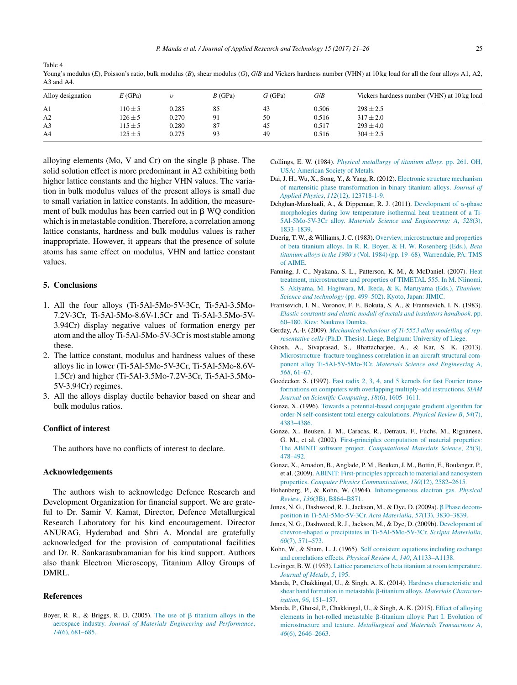| Alloy designation | E(GPa)      |       | $B$ (GPa) | G(GPa) | G/B   | Vickers hardness number (VHN) at 10 kg load |
|-------------------|-------------|-------|-----------|--------|-------|---------------------------------------------|
| A1                | $110 \pm 5$ | 0.285 | 85        | 43     | 0.506 | $298 \pm 2.5$                               |
| A2                | $126 \pm 5$ | 0.270 | 91        | 50     | 0.516 | $317 \pm 2.0$                               |
| A <sub>3</sub>    | $115 \pm 5$ | 0.280 | 87        | 45     | 0.517 | $293 \pm 4.0$                               |
| A <sub>4</sub>    | $125 \pm 5$ | 0.275 | 93        | 49     | 0.516 | $304 \pm 2.5$                               |

Young's modulus (*E*), Poisson's ratio, bulk modulus (*B*), shear modulus (*G*), *G*/*B* and Vickers hardness number (VHN) at 10 kg load for all the four alloys A1, A2, A3 and A4.

alloying elements (Mo, V and Cr) on the single  $\beta$  phase. The solid solution effect is more predominant in A2 exhibiting both higher lattice constants and the higher VHN values. The variation in bulk modulus values of the present alloys is small due to small variation in lattice constants. In addition, the measurement of bulk modulus has been carried out in  $\beta$  WQ condition which is in metastable condition. Therefore, a correlation among lattice constants, hardness and bulk modulus values is rather inappropriate. However, it appears that the presence of solute atoms has same effect on modulus, VHN and lattice constant values.

### **5. Conclusions**

<span id="page-4-0"></span>Table 4

- 1. All the four alloys (Ti-5Al-5Mo-5V-3Cr, Ti-5Al-3.5Mo-7.2V-3Cr, Ti-5Al-5Mo-8.6V-1.5Cr and Ti-5Al-3.5Mo-5V-3.94Cr) display negative values of formation energy per atom and the alloy Ti-5Al-5Mo-5V-3Cr is most stable among these.
- 2. The lattice constant, modulus and hardness values of these alloys lie in lower (Ti-5Al-5Mo-5V-3Cr, Ti-5Al-5Mo-8.6V-1.5Cr) and higher (Ti-5Al-3.5Mo-7.2V-3Cr, Ti-5Al-3.5Mo-5V-3.94Cr) regimes.
- 3. All the alloys display ductile behavior based on shear and bulk modulus ratios.

#### **Conflict of interest**

The authors have no conflicts of interest to declare.

### **Acknowledgements**

The authors wish to acknowledge Defence Research and Development Organization for financial support. We are grateful to Dr. Samir V. Kamat, Director, Defence Metallurgical Research Laboratory for his kind encouragement. Director ANURAG, Hyderabad and Shri A. Mondal are gratefully acknowledged for the provision of computational facilities and Dr. R. Sankarasubramanian for his kind support. Authors also thank Electron Microscopy, Titanium Alloy Groups of DMRL.

#### **References**

Boyer, R. R., & Briggs, R. D. (2005). [The](http://refhub.elsevier.com/S1665-6423(17)30002-0/sbref0005) [use](http://refhub.elsevier.com/S1665-6423(17)30002-0/sbref0005) [of](http://refhub.elsevier.com/S1665-6423(17)30002-0/sbref0005)  $\beta$  [titanium](http://refhub.elsevier.com/S1665-6423(17)30002-0/sbref0005) [alloys](http://refhub.elsevier.com/S1665-6423(17)30002-0/sbref0005) [in](http://refhub.elsevier.com/S1665-6423(17)30002-0/sbref0005) [the](http://refhub.elsevier.com/S1665-6423(17)30002-0/sbref0005) [aerospace](http://refhub.elsevier.com/S1665-6423(17)30002-0/sbref0005) [industry](http://refhub.elsevier.com/S1665-6423(17)30002-0/sbref0005). *[Journal](http://refhub.elsevier.com/S1665-6423(17)30002-0/sbref0005) [of](http://refhub.elsevier.com/S1665-6423(17)30002-0/sbref0005) [Materials](http://refhub.elsevier.com/S1665-6423(17)30002-0/sbref0005) [Engineering](http://refhub.elsevier.com/S1665-6423(17)30002-0/sbref0005) [and](http://refhub.elsevier.com/S1665-6423(17)30002-0/sbref0005) [Performance](http://refhub.elsevier.com/S1665-6423(17)30002-0/sbref0005)*[,](http://refhub.elsevier.com/S1665-6423(17)30002-0/sbref0005) *[14](http://refhub.elsevier.com/S1665-6423(17)30002-0/sbref0005)*[\(6\),](http://refhub.elsevier.com/S1665-6423(17)30002-0/sbref0005) [681](http://refhub.elsevier.com/S1665-6423(17)30002-0/sbref0005)–[685.](http://refhub.elsevier.com/S1665-6423(17)30002-0/sbref0005)

- Collings, E. W. (1984). *[Physical](http://refhub.elsevier.com/S1665-6423(17)30002-0/sbref0010) [metallurgy](http://refhub.elsevier.com/S1665-6423(17)30002-0/sbref0010) [of](http://refhub.elsevier.com/S1665-6423(17)30002-0/sbref0010) [titanium](http://refhub.elsevier.com/S1665-6423(17)30002-0/sbref0010) [alloys](http://refhub.elsevier.com/S1665-6423(17)30002-0/sbref0010)*. [pp.](http://refhub.elsevier.com/S1665-6423(17)30002-0/sbref0010) [261.](http://refhub.elsevier.com/S1665-6423(17)30002-0/sbref0010) [OH,](http://refhub.elsevier.com/S1665-6423(17)30002-0/sbref0010) [USA:](http://refhub.elsevier.com/S1665-6423(17)30002-0/sbref0010) [American](http://refhub.elsevier.com/S1665-6423(17)30002-0/sbref0010) [Society](http://refhub.elsevier.com/S1665-6423(17)30002-0/sbref0010) [of](http://refhub.elsevier.com/S1665-6423(17)30002-0/sbref0010) [Metals.](http://refhub.elsevier.com/S1665-6423(17)30002-0/sbref0010)
- Dai, J. H., Wu, X., Song, Y., & Yang, R. (2012). [Electronic](http://refhub.elsevier.com/S1665-6423(17)30002-0/sbref0020) [structure](http://refhub.elsevier.com/S1665-6423(17)30002-0/sbref0020) [mechanism](http://refhub.elsevier.com/S1665-6423(17)30002-0/sbref0020) [of](http://refhub.elsevier.com/S1665-6423(17)30002-0/sbref0020) [martensitic](http://refhub.elsevier.com/S1665-6423(17)30002-0/sbref0020) [phase](http://refhub.elsevier.com/S1665-6423(17)30002-0/sbref0020) [transformation](http://refhub.elsevier.com/S1665-6423(17)30002-0/sbref0020) [in](http://refhub.elsevier.com/S1665-6423(17)30002-0/sbref0020) [binary](http://refhub.elsevier.com/S1665-6423(17)30002-0/sbref0020) [titanium](http://refhub.elsevier.com/S1665-6423(17)30002-0/sbref0020) [alloys.](http://refhub.elsevier.com/S1665-6423(17)30002-0/sbref0020) *[Journal](http://refhub.elsevier.com/S1665-6423(17)30002-0/sbref0020) [of](http://refhub.elsevier.com/S1665-6423(17)30002-0/sbref0020) [Applied](http://refhub.elsevier.com/S1665-6423(17)30002-0/sbref0020) [Physics](http://refhub.elsevier.com/S1665-6423(17)30002-0/sbref0020)*[,](http://refhub.elsevier.com/S1665-6423(17)30002-0/sbref0020) *[112](http://refhub.elsevier.com/S1665-6423(17)30002-0/sbref0020)*[\(12\),](http://refhub.elsevier.com/S1665-6423(17)30002-0/sbref0020) [123718-1-9.](http://refhub.elsevier.com/S1665-6423(17)30002-0/sbref0020)
- Dehghan-Manshadi, A., & Dippenaar, R. J. (2011). [Development](http://refhub.elsevier.com/S1665-6423(17)30002-0/sbref0015) [of](http://refhub.elsevier.com/S1665-6423(17)30002-0/sbref0015)  $\alpha$ [-phase](http://refhub.elsevier.com/S1665-6423(17)30002-0/sbref0015) [morphologies](http://refhub.elsevier.com/S1665-6423(17)30002-0/sbref0015) [during](http://refhub.elsevier.com/S1665-6423(17)30002-0/sbref0015) [low](http://refhub.elsevier.com/S1665-6423(17)30002-0/sbref0015) [temperature](http://refhub.elsevier.com/S1665-6423(17)30002-0/sbref0015) [isothermal](http://refhub.elsevier.com/S1665-6423(17)30002-0/sbref0015) [heat](http://refhub.elsevier.com/S1665-6423(17)30002-0/sbref0015) [treatment](http://refhub.elsevier.com/S1665-6423(17)30002-0/sbref0015) [of](http://refhub.elsevier.com/S1665-6423(17)30002-0/sbref0015) [a](http://refhub.elsevier.com/S1665-6423(17)30002-0/sbref0015) [Ti-](http://refhub.elsevier.com/S1665-6423(17)30002-0/sbref0015)[5Al-5Mo-5V-3Cr](http://refhub.elsevier.com/S1665-6423(17)30002-0/sbref0015) [alloy.](http://refhub.elsevier.com/S1665-6423(17)30002-0/sbref0015) *[Materials](http://refhub.elsevier.com/S1665-6423(17)30002-0/sbref0015) [Science](http://refhub.elsevier.com/S1665-6423(17)30002-0/sbref0015) [and](http://refhub.elsevier.com/S1665-6423(17)30002-0/sbref0015) [Engineering:](http://refhub.elsevier.com/S1665-6423(17)30002-0/sbref0015) [A](http://refhub.elsevier.com/S1665-6423(17)30002-0/sbref0015)*[,](http://refhub.elsevier.com/S1665-6423(17)30002-0/sbref0015) *[528](http://refhub.elsevier.com/S1665-6423(17)30002-0/sbref0015)*[\(3\),](http://refhub.elsevier.com/S1665-6423(17)30002-0/sbref0015) [1833–1839.](http://refhub.elsevier.com/S1665-6423(17)30002-0/sbref0015)
- Duerig, T. W., & Williams,J. C. (1983). [Overview,](http://refhub.elsevier.com/S1665-6423(17)30002-0/sbref0025) [microstructure](http://refhub.elsevier.com/S1665-6423(17)30002-0/sbref0025) [and](http://refhub.elsevier.com/S1665-6423(17)30002-0/sbref0025) [properties](http://refhub.elsevier.com/S1665-6423(17)30002-0/sbref0025) [of](http://refhub.elsevier.com/S1665-6423(17)30002-0/sbref0025) [beta](http://refhub.elsevier.com/S1665-6423(17)30002-0/sbref0025) [titanium](http://refhub.elsevier.com/S1665-6423(17)30002-0/sbref0025) [alloys.](http://refhub.elsevier.com/S1665-6423(17)30002-0/sbref0025) [In](http://refhub.elsevier.com/S1665-6423(17)30002-0/sbref0025) [R.](http://refhub.elsevier.com/S1665-6423(17)30002-0/sbref0025) [R.](http://refhub.elsevier.com/S1665-6423(17)30002-0/sbref0025) [Boyer,](http://refhub.elsevier.com/S1665-6423(17)30002-0/sbref0025) [&](http://refhub.elsevier.com/S1665-6423(17)30002-0/sbref0025) [H.](http://refhub.elsevier.com/S1665-6423(17)30002-0/sbref0025) [W.](http://refhub.elsevier.com/S1665-6423(17)30002-0/sbref0025) [Rosenberg](http://refhub.elsevier.com/S1665-6423(17)30002-0/sbref0025) [\(Eds.\),](http://refhub.elsevier.com/S1665-6423(17)30002-0/sbref0025) *[Beta](http://refhub.elsevier.com/S1665-6423(17)30002-0/sbref0025) [titanium](http://refhub.elsevier.com/S1665-6423(17)30002-0/sbref0025) [alloys](http://refhub.elsevier.com/S1665-6423(17)30002-0/sbref0025) [in](http://refhub.elsevier.com/S1665-6423(17)30002-0/sbref0025) [the](http://refhub.elsevier.com/S1665-6423(17)30002-0/sbref0025) [1980's](http://refhub.elsevier.com/S1665-6423(17)30002-0/sbref0025)* [\(Vol.](http://refhub.elsevier.com/S1665-6423(17)30002-0/sbref0025) [1984\)](http://refhub.elsevier.com/S1665-6423(17)30002-0/sbref0025) [\(pp.](http://refhub.elsevier.com/S1665-6423(17)30002-0/sbref0025) [19–68\).](http://refhub.elsevier.com/S1665-6423(17)30002-0/sbref0025) [Warrendale,](http://refhub.elsevier.com/S1665-6423(17)30002-0/sbref0025) [PA:](http://refhub.elsevier.com/S1665-6423(17)30002-0/sbref0025) [TMS](http://refhub.elsevier.com/S1665-6423(17)30002-0/sbref0025) [of](http://refhub.elsevier.com/S1665-6423(17)30002-0/sbref0025) [AIME.](http://refhub.elsevier.com/S1665-6423(17)30002-0/sbref0025)
- Fanning, J. C., Nyakana, S. L., Patterson, K. M., & McDaniel. (2007). [Heat](http://refhub.elsevier.com/S1665-6423(17)30002-0/sbref0030) [treatment,](http://refhub.elsevier.com/S1665-6423(17)30002-0/sbref0030) [microstructure](http://refhub.elsevier.com/S1665-6423(17)30002-0/sbref0030) [and](http://refhub.elsevier.com/S1665-6423(17)30002-0/sbref0030) [properties](http://refhub.elsevier.com/S1665-6423(17)30002-0/sbref0030) [of](http://refhub.elsevier.com/S1665-6423(17)30002-0/sbref0030) [TIMETAL](http://refhub.elsevier.com/S1665-6423(17)30002-0/sbref0030) [555.](http://refhub.elsevier.com/S1665-6423(17)30002-0/sbref0030) [In](http://refhub.elsevier.com/S1665-6423(17)30002-0/sbref0030) [M.](http://refhub.elsevier.com/S1665-6423(17)30002-0/sbref0030) [Niinomi,](http://refhub.elsevier.com/S1665-6423(17)30002-0/sbref0030) [S.](http://refhub.elsevier.com/S1665-6423(17)30002-0/sbref0030) [Akiyama,](http://refhub.elsevier.com/S1665-6423(17)30002-0/sbref0030) [M.](http://refhub.elsevier.com/S1665-6423(17)30002-0/sbref0030) [Hagiwara,](http://refhub.elsevier.com/S1665-6423(17)30002-0/sbref0030) [M.](http://refhub.elsevier.com/S1665-6423(17)30002-0/sbref0030) [Ikeda,](http://refhub.elsevier.com/S1665-6423(17)30002-0/sbref0030) [&](http://refhub.elsevier.com/S1665-6423(17)30002-0/sbref0030) [K.](http://refhub.elsevier.com/S1665-6423(17)30002-0/sbref0030) [Maruyama](http://refhub.elsevier.com/S1665-6423(17)30002-0/sbref0030) [\(Eds.\),](http://refhub.elsevier.com/S1665-6423(17)30002-0/sbref0030) *[Titanium:](http://refhub.elsevier.com/S1665-6423(17)30002-0/sbref0030) [Science](http://refhub.elsevier.com/S1665-6423(17)30002-0/sbref0030) [and](http://refhub.elsevier.com/S1665-6423(17)30002-0/sbref0030) [technology](http://refhub.elsevier.com/S1665-6423(17)30002-0/sbref0030)* [\(pp.](http://refhub.elsevier.com/S1665-6423(17)30002-0/sbref0030) [499–502\).](http://refhub.elsevier.com/S1665-6423(17)30002-0/sbref0030) [Kyoto,](http://refhub.elsevier.com/S1665-6423(17)30002-0/sbref0030) [Japan:](http://refhub.elsevier.com/S1665-6423(17)30002-0/sbref0030) [JIMIC.](http://refhub.elsevier.com/S1665-6423(17)30002-0/sbref0030)
- Frantsevich, I. N., Voronov, F. F., Bokuta, S. A., & Frantsevich, I. N. (1983). *[Elastic](http://refhub.elsevier.com/S1665-6423(17)30002-0/sbref0035) [constants](http://refhub.elsevier.com/S1665-6423(17)30002-0/sbref0035) [and](http://refhub.elsevier.com/S1665-6423(17)30002-0/sbref0035) [elastic](http://refhub.elsevier.com/S1665-6423(17)30002-0/sbref0035) [moduli](http://refhub.elsevier.com/S1665-6423(17)30002-0/sbref0035) [of](http://refhub.elsevier.com/S1665-6423(17)30002-0/sbref0035) [metals](http://refhub.elsevier.com/S1665-6423(17)30002-0/sbref0035) [and](http://refhub.elsevier.com/S1665-6423(17)30002-0/sbref0035) [insulators](http://refhub.elsevier.com/S1665-6423(17)30002-0/sbref0035) [handbook](http://refhub.elsevier.com/S1665-6423(17)30002-0/sbref0035)*[.](http://refhub.elsevier.com/S1665-6423(17)30002-0/sbref0035) [pp.](http://refhub.elsevier.com/S1665-6423(17)30002-0/sbref0035) [60](http://refhub.elsevier.com/S1665-6423(17)30002-0/sbref0035)–[180.](http://refhub.elsevier.com/S1665-6423(17)30002-0/sbref0035) [Kiev:](http://refhub.elsevier.com/S1665-6423(17)30002-0/sbref0035) [Naukova](http://refhub.elsevier.com/S1665-6423(17)30002-0/sbref0035) [Dumka.](http://refhub.elsevier.com/S1665-6423(17)30002-0/sbref0035)
- Gerday, A.-F. (2009). *[Mechanical](http://refhub.elsevier.com/S1665-6423(17)30002-0/sbref0040) [behaviour](http://refhub.elsevier.com/S1665-6423(17)30002-0/sbref0040) [of](http://refhub.elsevier.com/S1665-6423(17)30002-0/sbref0040) [Ti-5553](http://refhub.elsevier.com/S1665-6423(17)30002-0/sbref0040) [alloy](http://refhub.elsevier.com/S1665-6423(17)30002-0/sbref0040) [modelling](http://refhub.elsevier.com/S1665-6423(17)30002-0/sbref0040) [of](http://refhub.elsevier.com/S1665-6423(17)30002-0/sbref0040) [rep](http://refhub.elsevier.com/S1665-6423(17)30002-0/sbref0040)[resentative](http://refhub.elsevier.com/S1665-6423(17)30002-0/sbref0040) [cells](http://refhub.elsevier.com/S1665-6423(17)30002-0/sbref0040)* [\(Ph.D.](http://refhub.elsevier.com/S1665-6423(17)30002-0/sbref0040) [Thesis\).](http://refhub.elsevier.com/S1665-6423(17)30002-0/sbref0040) [Liege,](http://refhub.elsevier.com/S1665-6423(17)30002-0/sbref0040) [Belgium:](http://refhub.elsevier.com/S1665-6423(17)30002-0/sbref0040) [University](http://refhub.elsevier.com/S1665-6423(17)30002-0/sbref0040) [of](http://refhub.elsevier.com/S1665-6423(17)30002-0/sbref0040) [Liege.](http://refhub.elsevier.com/S1665-6423(17)30002-0/sbref0040)
- Ghosh, A., Sivaprasad, S., Bhattacharjee, A., & Kar, S. K. (2013). [Microstructure–fracture](http://refhub.elsevier.com/S1665-6423(17)30002-0/sbref0045) [toughness](http://refhub.elsevier.com/S1665-6423(17)30002-0/sbref0045) [correlation](http://refhub.elsevier.com/S1665-6423(17)30002-0/sbref0045) [in](http://refhub.elsevier.com/S1665-6423(17)30002-0/sbref0045) [an](http://refhub.elsevier.com/S1665-6423(17)30002-0/sbref0045) [aircraft](http://refhub.elsevier.com/S1665-6423(17)30002-0/sbref0045) [structural](http://refhub.elsevier.com/S1665-6423(17)30002-0/sbref0045) [com](http://refhub.elsevier.com/S1665-6423(17)30002-0/sbref0045)[ponent](http://refhub.elsevier.com/S1665-6423(17)30002-0/sbref0045) [alloy](http://refhub.elsevier.com/S1665-6423(17)30002-0/sbref0045) [Ti-5Al-5V-5Mo-3Cr](http://refhub.elsevier.com/S1665-6423(17)30002-0/sbref0045). *[Materials](http://refhub.elsevier.com/S1665-6423(17)30002-0/sbref0045) [Science](http://refhub.elsevier.com/S1665-6423(17)30002-0/sbref0045) [and](http://refhub.elsevier.com/S1665-6423(17)30002-0/sbref0045) [Engineering](http://refhub.elsevier.com/S1665-6423(17)30002-0/sbref0045) [A](http://refhub.elsevier.com/S1665-6423(17)30002-0/sbref0045)*[,](http://refhub.elsevier.com/S1665-6423(17)30002-0/sbref0045) *[568](http://refhub.elsevier.com/S1665-6423(17)30002-0/sbref0045)*[,](http://refhub.elsevier.com/S1665-6423(17)30002-0/sbref0045) [61](http://refhub.elsevier.com/S1665-6423(17)30002-0/sbref0045)–[67.](http://refhub.elsevier.com/S1665-6423(17)30002-0/sbref0045)
- Goedecker, S. (1997). [Fast](http://refhub.elsevier.com/S1665-6423(17)30002-0/sbref0050) [radix](http://refhub.elsevier.com/S1665-6423(17)30002-0/sbref0050) [2,](http://refhub.elsevier.com/S1665-6423(17)30002-0/sbref0050) [3,](http://refhub.elsevier.com/S1665-6423(17)30002-0/sbref0050) [4,](http://refhub.elsevier.com/S1665-6423(17)30002-0/sbref0050) [and](http://refhub.elsevier.com/S1665-6423(17)30002-0/sbref0050) [5](http://refhub.elsevier.com/S1665-6423(17)30002-0/sbref0050) [kernels](http://refhub.elsevier.com/S1665-6423(17)30002-0/sbref0050) [for](http://refhub.elsevier.com/S1665-6423(17)30002-0/sbref0050) [fast](http://refhub.elsevier.com/S1665-6423(17)30002-0/sbref0050) [Fourier](http://refhub.elsevier.com/S1665-6423(17)30002-0/sbref0050) [trans](http://refhub.elsevier.com/S1665-6423(17)30002-0/sbref0050)[formations](http://refhub.elsevier.com/S1665-6423(17)30002-0/sbref0050) [on](http://refhub.elsevier.com/S1665-6423(17)30002-0/sbref0050) [computers](http://refhub.elsevier.com/S1665-6423(17)30002-0/sbref0050) [with](http://refhub.elsevier.com/S1665-6423(17)30002-0/sbref0050) [overlapping](http://refhub.elsevier.com/S1665-6423(17)30002-0/sbref0050) [multiply–add](http://refhub.elsevier.com/S1665-6423(17)30002-0/sbref0050) [instructions.](http://refhub.elsevier.com/S1665-6423(17)30002-0/sbref0050) *[SIAM](http://refhub.elsevier.com/S1665-6423(17)30002-0/sbref0050) [Journal](http://refhub.elsevier.com/S1665-6423(17)30002-0/sbref0050) [on](http://refhub.elsevier.com/S1665-6423(17)30002-0/sbref0050) [Scientific](http://refhub.elsevier.com/S1665-6423(17)30002-0/sbref0050) [Computing](http://refhub.elsevier.com/S1665-6423(17)30002-0/sbref0050)*[,](http://refhub.elsevier.com/S1665-6423(17)30002-0/sbref0050) *[18](http://refhub.elsevier.com/S1665-6423(17)30002-0/sbref0050)*[\(6\),](http://refhub.elsevier.com/S1665-6423(17)30002-0/sbref0050) [1605](http://refhub.elsevier.com/S1665-6423(17)30002-0/sbref0050)–[1611.](http://refhub.elsevier.com/S1665-6423(17)30002-0/sbref0050)
- Gonze, X. (1996). [Towards](http://refhub.elsevier.com/S1665-6423(17)30002-0/sbref0055) [a](http://refhub.elsevier.com/S1665-6423(17)30002-0/sbref0055) [potential-based](http://refhub.elsevier.com/S1665-6423(17)30002-0/sbref0055) [conjugate](http://refhub.elsevier.com/S1665-6423(17)30002-0/sbref0055) [gradient](http://refhub.elsevier.com/S1665-6423(17)30002-0/sbref0055) [algorithm](http://refhub.elsevier.com/S1665-6423(17)30002-0/sbref0055) [for](http://refhub.elsevier.com/S1665-6423(17)30002-0/sbref0055) [order-N](http://refhub.elsevier.com/S1665-6423(17)30002-0/sbref0055) [self-consistent](http://refhub.elsevier.com/S1665-6423(17)30002-0/sbref0055) [total](http://refhub.elsevier.com/S1665-6423(17)30002-0/sbref0055) [energy](http://refhub.elsevier.com/S1665-6423(17)30002-0/sbref0055) [calculations.](http://refhub.elsevier.com/S1665-6423(17)30002-0/sbref0055) *[Physical](http://refhub.elsevier.com/S1665-6423(17)30002-0/sbref0055) [Review](http://refhub.elsevier.com/S1665-6423(17)30002-0/sbref0055) [B](http://refhub.elsevier.com/S1665-6423(17)30002-0/sbref0055)*[,](http://refhub.elsevier.com/S1665-6423(17)30002-0/sbref0055) *[54](http://refhub.elsevier.com/S1665-6423(17)30002-0/sbref0055)*[\(7\),](http://refhub.elsevier.com/S1665-6423(17)30002-0/sbref0055) [4383–4386.](http://refhub.elsevier.com/S1665-6423(17)30002-0/sbref0055)
- Gonze, X., Beuken, J. M., Caracas, R., Detraux, F., Fuchs, M., Rignanese, G. M., et al. (2002). [First-principles](http://refhub.elsevier.com/S1665-6423(17)30002-0/sbref0060) [computation](http://refhub.elsevier.com/S1665-6423(17)30002-0/sbref0060) [of](http://refhub.elsevier.com/S1665-6423(17)30002-0/sbref0060) [material](http://refhub.elsevier.com/S1665-6423(17)30002-0/sbref0060) [properties:](http://refhub.elsevier.com/S1665-6423(17)30002-0/sbref0060) [The](http://refhub.elsevier.com/S1665-6423(17)30002-0/sbref0060) [ABINIT](http://refhub.elsevier.com/S1665-6423(17)30002-0/sbref0060) [software](http://refhub.elsevier.com/S1665-6423(17)30002-0/sbref0060) [project.](http://refhub.elsevier.com/S1665-6423(17)30002-0/sbref0060) *[Computational](http://refhub.elsevier.com/S1665-6423(17)30002-0/sbref0060) [Materials](http://refhub.elsevier.com/S1665-6423(17)30002-0/sbref0060) [Science](http://refhub.elsevier.com/S1665-6423(17)30002-0/sbref0060)*[,](http://refhub.elsevier.com/S1665-6423(17)30002-0/sbref0060) *[25](http://refhub.elsevier.com/S1665-6423(17)30002-0/sbref0060)*[\(3\),](http://refhub.elsevier.com/S1665-6423(17)30002-0/sbref0060) [478–492.](http://refhub.elsevier.com/S1665-6423(17)30002-0/sbref0060)
- Gonze, X., Amadon, B., Anglade, P. M., Beuken,J. M., Bottin, F., Boulanger, P., et al. (2009). [ABINIT:](http://refhub.elsevier.com/S1665-6423(17)30002-0/sbref0065) [First-principles](http://refhub.elsevier.com/S1665-6423(17)30002-0/sbref0065) [approach](http://refhub.elsevier.com/S1665-6423(17)30002-0/sbref0065) [to](http://refhub.elsevier.com/S1665-6423(17)30002-0/sbref0065) [material](http://refhub.elsevier.com/S1665-6423(17)30002-0/sbref0065) [and](http://refhub.elsevier.com/S1665-6423(17)30002-0/sbref0065) [nanosystem](http://refhub.elsevier.com/S1665-6423(17)30002-0/sbref0065) [properties.](http://refhub.elsevier.com/S1665-6423(17)30002-0/sbref0065) *[Computer](http://refhub.elsevier.com/S1665-6423(17)30002-0/sbref0065) [Physics](http://refhub.elsevier.com/S1665-6423(17)30002-0/sbref0065) [Communications](http://refhub.elsevier.com/S1665-6423(17)30002-0/sbref0065)*[,](http://refhub.elsevier.com/S1665-6423(17)30002-0/sbref0065) *[180](http://refhub.elsevier.com/S1665-6423(17)30002-0/sbref0065)*[\(12\),](http://refhub.elsevier.com/S1665-6423(17)30002-0/sbref0065) [2582–2615.](http://refhub.elsevier.com/S1665-6423(17)30002-0/sbref0065)
- Hohenberg, P., & Kohn, W. (1964). [Inhomogeneous](http://refhub.elsevier.com/S1665-6423(17)30002-0/sbref0070) [electron](http://refhub.elsevier.com/S1665-6423(17)30002-0/sbref0070) [gas.](http://refhub.elsevier.com/S1665-6423(17)30002-0/sbref0070) *[Physical](http://refhub.elsevier.com/S1665-6423(17)30002-0/sbref0070) [Review](http://refhub.elsevier.com/S1665-6423(17)30002-0/sbref0070)*[,](http://refhub.elsevier.com/S1665-6423(17)30002-0/sbref0070) *[136](http://refhub.elsevier.com/S1665-6423(17)30002-0/sbref0070)*[\(3B\),](http://refhub.elsevier.com/S1665-6423(17)30002-0/sbref0070) [B864–B871.](http://refhub.elsevier.com/S1665-6423(17)30002-0/sbref0070)
- Jones, N. G., Dashwood, R. J., Jackson, M., & Dye, D. (2009a). B Phase decom[position](http://refhub.elsevier.com/S1665-6423(17)30002-0/sbref0080) [in](http://refhub.elsevier.com/S1665-6423(17)30002-0/sbref0080) [Ti-5Al-5Mo-5V-3Cr.](http://refhub.elsevier.com/S1665-6423(17)30002-0/sbref0080) *[Acta](http://refhub.elsevier.com/S1665-6423(17)30002-0/sbref0080) [Materialia](http://refhub.elsevier.com/S1665-6423(17)30002-0/sbref0080)*[,](http://refhub.elsevier.com/S1665-6423(17)30002-0/sbref0080) *[57](http://refhub.elsevier.com/S1665-6423(17)30002-0/sbref0080)*[\(13\),](http://refhub.elsevier.com/S1665-6423(17)30002-0/sbref0080) [3830–3839.](http://refhub.elsevier.com/S1665-6423(17)30002-0/sbref0080)
- Jones, N. G., Dashwood, R.J.,Jackson, M., & Dye, D. (2009b). [Development](http://refhub.elsevier.com/S1665-6423(17)30002-0/sbref0075) [of](http://refhub.elsevier.com/S1665-6423(17)30002-0/sbref0075) [chevron-shaped](http://refhub.elsevier.com/S1665-6423(17)30002-0/sbref0075)  $\alpha$  [precipitates](http://refhub.elsevier.com/S1665-6423(17)30002-0/sbref0075) [in](http://refhub.elsevier.com/S1665-6423(17)30002-0/sbref0075) [Ti-5Al-5Mo-5V-3Cr.](http://refhub.elsevier.com/S1665-6423(17)30002-0/sbref0075) *[Scripta](http://refhub.elsevier.com/S1665-6423(17)30002-0/sbref0075) [Materialia](http://refhub.elsevier.com/S1665-6423(17)30002-0/sbref0075)*[,](http://refhub.elsevier.com/S1665-6423(17)30002-0/sbref0075) *[60](http://refhub.elsevier.com/S1665-6423(17)30002-0/sbref0075)*[\(7\),](http://refhub.elsevier.com/S1665-6423(17)30002-0/sbref0075) [571](http://refhub.elsevier.com/S1665-6423(17)30002-0/sbref0075)–[573.](http://refhub.elsevier.com/S1665-6423(17)30002-0/sbref0075)
- Kohn, W., & Sham, L. J. (1965). [Self](http://refhub.elsevier.com/S1665-6423(17)30002-0/sbref0085) [consistent](http://refhub.elsevier.com/S1665-6423(17)30002-0/sbref0085) [equations](http://refhub.elsevier.com/S1665-6423(17)30002-0/sbref0085) [including](http://refhub.elsevier.com/S1665-6423(17)30002-0/sbref0085) [exchange](http://refhub.elsevier.com/S1665-6423(17)30002-0/sbref0085) [and](http://refhub.elsevier.com/S1665-6423(17)30002-0/sbref0085) [correlations](http://refhub.elsevier.com/S1665-6423(17)30002-0/sbref0085) [effects.](http://refhub.elsevier.com/S1665-6423(17)30002-0/sbref0085) *[Physical](http://refhub.elsevier.com/S1665-6423(17)30002-0/sbref0085) [Review](http://refhub.elsevier.com/S1665-6423(17)30002-0/sbref0085) [A](http://refhub.elsevier.com/S1665-6423(17)30002-0/sbref0085)*[,](http://refhub.elsevier.com/S1665-6423(17)30002-0/sbref0085) *[140](http://refhub.elsevier.com/S1665-6423(17)30002-0/sbref0085)*[,](http://refhub.elsevier.com/S1665-6423(17)30002-0/sbref0085) [A1133](http://refhub.elsevier.com/S1665-6423(17)30002-0/sbref0085)–[A1138.](http://refhub.elsevier.com/S1665-6423(17)30002-0/sbref0085)
- Levinger, B. W. (1953). [Lattice](http://refhub.elsevier.com/S1665-6423(17)30002-0/sbref0090) [parameters](http://refhub.elsevier.com/S1665-6423(17)30002-0/sbref0090) [of](http://refhub.elsevier.com/S1665-6423(17)30002-0/sbref0090) [beta](http://refhub.elsevier.com/S1665-6423(17)30002-0/sbref0090) [titanium](http://refhub.elsevier.com/S1665-6423(17)30002-0/sbref0090) [at](http://refhub.elsevier.com/S1665-6423(17)30002-0/sbref0090) [room](http://refhub.elsevier.com/S1665-6423(17)30002-0/sbref0090) [temperature.](http://refhub.elsevier.com/S1665-6423(17)30002-0/sbref0090) *[Journal](http://refhub.elsevier.com/S1665-6423(17)30002-0/sbref0090) [of](http://refhub.elsevier.com/S1665-6423(17)30002-0/sbref0090) [Metals](http://refhub.elsevier.com/S1665-6423(17)30002-0/sbref0090)*[,](http://refhub.elsevier.com/S1665-6423(17)30002-0/sbref0090) *[5](http://refhub.elsevier.com/S1665-6423(17)30002-0/sbref0090)*[,](http://refhub.elsevier.com/S1665-6423(17)30002-0/sbref0090) [195.](http://refhub.elsevier.com/S1665-6423(17)30002-0/sbref0090)
- Manda, P., Chakkingal, U., & Singh, A. K. (2014). [Hardness](http://refhub.elsevier.com/S1665-6423(17)30002-0/sbref0095) [characteristic](http://refhub.elsevier.com/S1665-6423(17)30002-0/sbref0095) [and](http://refhub.elsevier.com/S1665-6423(17)30002-0/sbref0095) [shear](http://refhub.elsevier.com/S1665-6423(17)30002-0/sbref0095) [band](http://refhub.elsevier.com/S1665-6423(17)30002-0/sbref0095) [formation](http://refhub.elsevier.com/S1665-6423(17)30002-0/sbref0095) [in](http://refhub.elsevier.com/S1665-6423(17)30002-0/sbref0095) [metastable](http://refhub.elsevier.com/S1665-6423(17)30002-0/sbref0095) β[-titanium](http://refhub.elsevier.com/S1665-6423(17)30002-0/sbref0095) [alloys.](http://refhub.elsevier.com/S1665-6423(17)30002-0/sbref0095) *[Materials](http://refhub.elsevier.com/S1665-6423(17)30002-0/sbref0095) [Character](http://refhub.elsevier.com/S1665-6423(17)30002-0/sbref0095)**[ization](http://refhub.elsevier.com/S1665-6423(17)30002-0/sbref0095)*[,](http://refhub.elsevier.com/S1665-6423(17)30002-0/sbref0095) *[96](http://refhub.elsevier.com/S1665-6423(17)30002-0/sbref0095)*[,](http://refhub.elsevier.com/S1665-6423(17)30002-0/sbref0095) [151](http://refhub.elsevier.com/S1665-6423(17)30002-0/sbref0095)–[157.](http://refhub.elsevier.com/S1665-6423(17)30002-0/sbref0095)
- Manda, P., Ghosal, P., Chakkingal, U., & Singh, A. K. (2015). [Effect](http://refhub.elsevier.com/S1665-6423(17)30002-0/sbref0100) [of](http://refhub.elsevier.com/S1665-6423(17)30002-0/sbref0100) [alloying](http://refhub.elsevier.com/S1665-6423(17)30002-0/sbref0100) [elements](http://refhub.elsevier.com/S1665-6423(17)30002-0/sbref0100) [in](http://refhub.elsevier.com/S1665-6423(17)30002-0/sbref0100) [hot-rolled](http://refhub.elsevier.com/S1665-6423(17)30002-0/sbref0100) [metastable](http://refhub.elsevier.com/S1665-6423(17)30002-0/sbref0100)  $\beta$ [-titanium](http://refhub.elsevier.com/S1665-6423(17)30002-0/sbref0100) [alloys:](http://refhub.elsevier.com/S1665-6423(17)30002-0/sbref0100) [Part](http://refhub.elsevier.com/S1665-6423(17)30002-0/sbref0100) [I.](http://refhub.elsevier.com/S1665-6423(17)30002-0/sbref0100) [Evolution](http://refhub.elsevier.com/S1665-6423(17)30002-0/sbref0100) [of](http://refhub.elsevier.com/S1665-6423(17)30002-0/sbref0100) [microstructure](http://refhub.elsevier.com/S1665-6423(17)30002-0/sbref0100) [and](http://refhub.elsevier.com/S1665-6423(17)30002-0/sbref0100) [texture.](http://refhub.elsevier.com/S1665-6423(17)30002-0/sbref0100) *[Metallurgical](http://refhub.elsevier.com/S1665-6423(17)30002-0/sbref0100) [and](http://refhub.elsevier.com/S1665-6423(17)30002-0/sbref0100) [Materials](http://refhub.elsevier.com/S1665-6423(17)30002-0/sbref0100) [Transactions](http://refhub.elsevier.com/S1665-6423(17)30002-0/sbref0100) [A](http://refhub.elsevier.com/S1665-6423(17)30002-0/sbref0100)*[,](http://refhub.elsevier.com/S1665-6423(17)30002-0/sbref0100) *[46](http://refhub.elsevier.com/S1665-6423(17)30002-0/sbref0100)*[\(6\),](http://refhub.elsevier.com/S1665-6423(17)30002-0/sbref0100) [2646–2663.](http://refhub.elsevier.com/S1665-6423(17)30002-0/sbref0100)